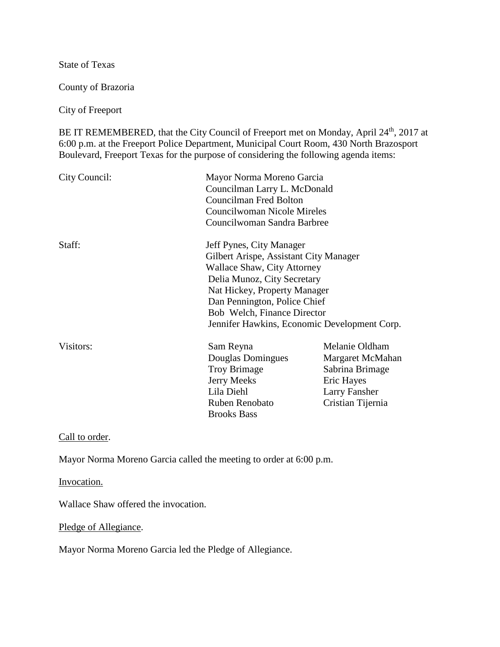State of Texas

County of Brazoria

City of Freeport

BE IT REMEMBERED, that the City Council of Freeport met on Monday, April 24<sup>th</sup>, 2017 at 6:00 p.m. at the Freeport Police Department, Municipal Court Room, 430 North Brazosport Boulevard, Freeport Texas for the purpose of considering the following agenda items:

| City Council: | Mayor Norma Moreno Garcia<br>Councilman Larry L. McDonald<br>Councilman Fred Bolton<br>Councilwoman Nicole Mireles<br>Councilwoman Sandra Barbree |                      |
|---------------|---------------------------------------------------------------------------------------------------------------------------------------------------|----------------------|
| Staff:        | Jeff Pynes, City Manager                                                                                                                          |                      |
|               | Gilbert Arispe, Assistant City Manager                                                                                                            |                      |
|               | <b>Wallace Shaw, City Attorney</b>                                                                                                                |                      |
|               | Delia Munoz, City Secretary                                                                                                                       |                      |
|               | Nat Hickey, Property Manager                                                                                                                      |                      |
|               | Dan Pennington, Police Chief                                                                                                                      |                      |
|               | Bob Welch, Finance Director                                                                                                                       |                      |
|               | Jennifer Hawkins, Economic Development Corp.                                                                                                      |                      |
| Visitors:     | Sam Reyna                                                                                                                                         | Melanie Oldham       |
|               | Douglas Domingues                                                                                                                                 | Margaret McMahan     |
|               | <b>Troy Brimage</b>                                                                                                                               | Sabrina Brimage      |
|               | Jerry Meeks                                                                                                                                       | Eric Hayes           |
|               | Lila Diehl                                                                                                                                        | <b>Larry Fansher</b> |
|               | Ruben Renobato                                                                                                                                    | Cristian Tijernia    |
|               | <b>Brooks Bass</b>                                                                                                                                |                      |

Call to order.

Mayor Norma Moreno Garcia called the meeting to order at 6:00 p.m.

Invocation.

Wallace Shaw offered the invocation.

Pledge of Allegiance.

Mayor Norma Moreno Garcia led the Pledge of Allegiance.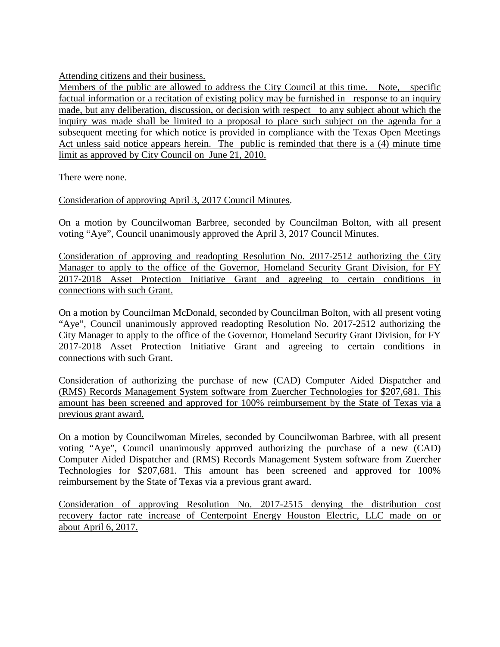Attending citizens and their business.

Members of the public are allowed to address the City Council at this time. Note, specific factual information or a recitation of existing policy may be furnished in response to an inquiry made, but any deliberation, discussion, or decision with respect to any subject about which the inquiry was made shall be limited to a proposal to place such subject on the agenda for a subsequent meeting for which notice is provided in compliance with the Texas Open Meetings Act unless said notice appears herein. The public is reminded that there is a (4) minute time limit as approved by City Council on June 21, 2010.

There were none.

Consideration of approving April 3, 2017 Council Minutes.

On a motion by Councilwoman Barbree, seconded by Councilman Bolton, with all present voting "Aye", Council unanimously approved the April 3, 2017 Council Minutes.

Consideration of approving and readopting Resolution No. 2017-2512 authorizing the City Manager to apply to the office of the Governor, Homeland Security Grant Division, for FY 2017-2018 Asset Protection Initiative Grant and agreeing to certain conditions in connections with such Grant.

On a motion by Councilman McDonald, seconded by Councilman Bolton, with all present voting "Aye", Council unanimously approved readopting Resolution No. 2017-2512 authorizing the City Manager to apply to the office of the Governor, Homeland Security Grant Division, for FY 2017-2018 Asset Protection Initiative Grant and agreeing to certain conditions in connections with such Grant.

Consideration of authorizing the purchase of new (CAD) Computer Aided Dispatcher and (RMS) Records Management System software from Zuercher Technologies for \$207,681. This amount has been screened and approved for 100% reimbursement by the State of Texas via a previous grant award.

On a motion by Councilwoman Mireles, seconded by Councilwoman Barbree, with all present voting "Aye", Council unanimously approved authorizing the purchase of a new (CAD) Computer Aided Dispatcher and (RMS) Records Management System software from Zuercher Technologies for \$207,681. This amount has been screened and approved for 100% reimbursement by the State of Texas via a previous grant award.

Consideration of approving Resolution No. 2017-2515 denying the distribution cost recovery factor rate increase of Centerpoint Energy Houston Electric, LLC made on or about April 6, 2017.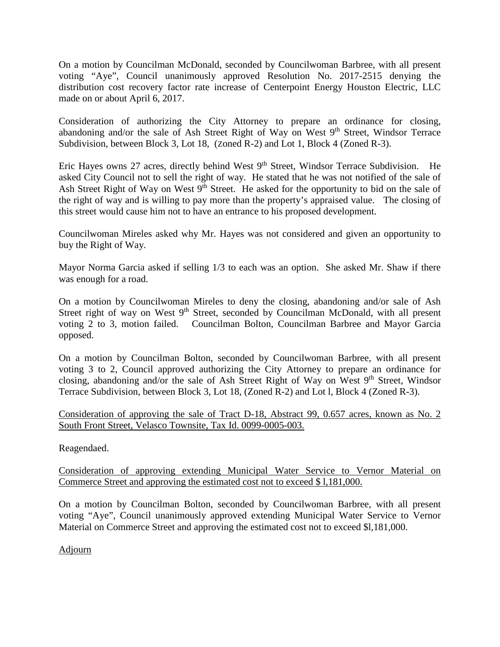On a motion by Councilman McDonald, seconded by Councilwoman Barbree, with all present voting "Aye", Council unanimously approved Resolution No. 2017-2515 denying the distribution cost recovery factor rate increase of Centerpoint Energy Houston Electric, LLC made on or about April 6, 2017.

Consideration of authorizing the City Attorney to prepare an ordinance for closing, abandoning and/or the sale of Ash Street Right of Way on West  $9<sup>th</sup>$  Street, Windsor Terrace Subdivision, between Block 3, Lot 18, (Zoned R-2) and Lot 1, Block 4 (Zoned R-3).

Eric Hayes owns 27 acres, directly behind West 9<sup>th</sup> Street, Windsor Terrace Subdivision. He asked City Council not to sell the right of way. He stated that he was not notified of the sale of Ash Street Right of Way on West  $9<sup>th</sup>$  Street. He asked for the opportunity to bid on the sale of the right of way and is willing to pay more than the property's appraised value. The closing of this street would cause him not to have an entrance to his proposed development.

Councilwoman Mireles asked why Mr. Hayes was not considered and given an opportunity to buy the Right of Way.

Mayor Norma Garcia asked if selling 1/3 to each was an option. She asked Mr. Shaw if there was enough for a road.

On a motion by Councilwoman Mireles to deny the closing, abandoning and/or sale of Ash Street right of way on West 9<sup>th</sup> Street, seconded by Councilman McDonald, with all present voting 2 to 3, motion failed. Councilman Bolton, Councilman Barbree and Mayor Garcia opposed.

On a motion by Councilman Bolton, seconded by Councilwoman Barbree, with all present voting 3 to 2, Council approved authorizing the City Attorney to prepare an ordinance for closing, abandoning and/or the sale of Ash Street Right of Way on West 9<sup>th</sup> Street, Windsor Terrace Subdivision, between Block 3, Lot 18, (Zoned R-2) and Lot l, Block 4 (Zoned R-3).

Consideration of approving the sale of Tract D-18, Abstract 99, 0.657 acres, known as No. 2 South Front Street, Velasco Townsite, Tax Id. 0099-0005-003.

Reagendaed.

Consideration of approving extending Municipal Water Service to Vernor Material on Commerce Street and approving the estimated cost not to exceed \$ l,181,000.

On a motion by Councilman Bolton, seconded by Councilwoman Barbree, with all present voting "Aye", Council unanimously approved extending Municipal Water Service to Vernor Material on Commerce Street and approving the estimated cost not to exceed \$l,181,000.

Adjourn